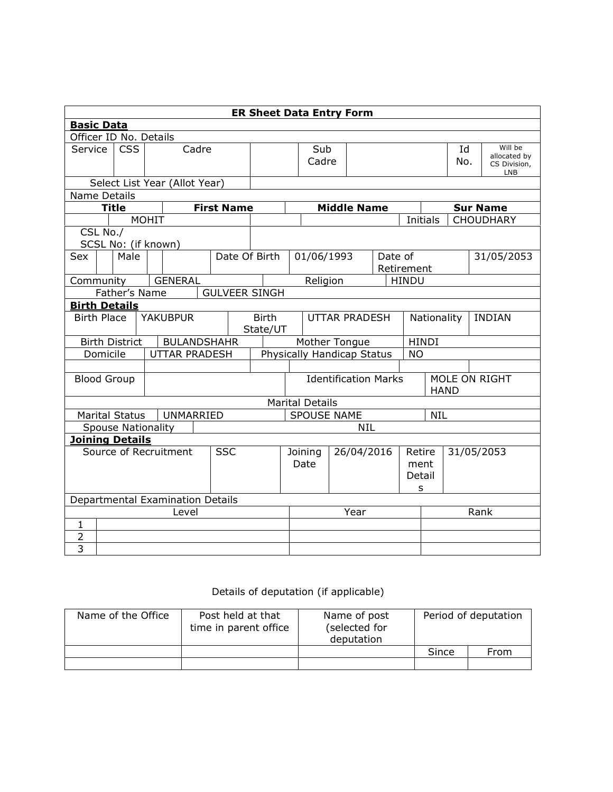| <b>ER Sheet Data Entry Form</b>       |                                           |      |  |                           |                          |                   |               |      |                             |                                  |                        |      |                            |                              |                         |              |                 |                            |                  |
|---------------------------------------|-------------------------------------------|------|--|---------------------------|--------------------------|-------------------|---------------|------|-----------------------------|----------------------------------|------------------------|------|----------------------------|------------------------------|-------------------------|--------------|-----------------|----------------------------|------------------|
| <b>Basic Data</b>                     |                                           |      |  |                           |                          |                   |               |      |                             |                                  |                        |      |                            |                              |                         |              |                 |                            |                  |
| Officer ID No. Details                |                                           |      |  |                           |                          |                   |               |      |                             |                                  |                        |      |                            |                              |                         |              |                 |                            |                  |
| Service                               | <b>CSS</b><br>Cadre                       |      |  |                           |                          |                   |               | Sub  |                             |                                  |                        |      | Id                         |                              | Will be<br>allocated by |              |                 |                            |                  |
|                                       |                                           |      |  |                           |                          |                   |               |      |                             |                                  | Cadre                  |      |                            |                              | No.                     |              |                 | CS Division,<br><b>LNB</b> |                  |
| Select List Year (Allot Year)         |                                           |      |  |                           |                          |                   |               |      |                             |                                  |                        |      |                            |                              |                         |              |                 |                            |                  |
| Name Details                          |                                           |      |  |                           |                          |                   |               |      |                             |                                  |                        |      |                            |                              |                         |              |                 |                            |                  |
|                                       | <b>Title</b>                              |      |  |                           |                          | <b>First Name</b> |               |      |                             |                                  |                        |      | <b>Middle Name</b>         |                              |                         |              | <b>Sur Name</b> |                            |                  |
|                                       |                                           |      |  | <b>MOHIT</b>              |                          |                   |               |      |                             |                                  |                        |      |                            |                              |                         | Initials     |                 |                            | <b>CHOUDHARY</b> |
| CSL No./                              |                                           |      |  | SCSL No: (if known)       |                          |                   |               |      |                             |                                  |                        |      |                            |                              |                         |              |                 |                            |                  |
| Sex                                   |                                           | Male |  |                           |                          |                   | Date Of Birth |      |                             |                                  | 01/06/1993             |      |                            |                              | Date of                 |              |                 |                            | 31/05/2053       |
|                                       |                                           |      |  |                           |                          |                   |               |      |                             |                                  |                        |      |                            |                              | Retirement              |              |                 |                            |                  |
| Community                             |                                           |      |  | <b>GENERAL</b>            |                          |                   |               |      |                             |                                  | Religion               |      |                            |                              | <b>HINDU</b>            |              |                 |                            |                  |
| Father's Name<br><b>GULVEER SINGH</b> |                                           |      |  |                           |                          |                   |               |      |                             |                                  |                        |      |                            |                              |                         |              |                 |                            |                  |
| <b>Birth Details</b>                  |                                           |      |  |                           |                          |                   |               |      |                             |                                  |                        |      |                            |                              |                         |              |                 |                            |                  |
| <b>YAKUBPUR</b><br><b>Birth Place</b> |                                           |      |  |                           | <b>Birth</b><br>State/UT |                   |               |      | <b>UTTAR PRADESH</b>        |                                  |                        |      | Nationality                |                              | <b>INDIAN</b>           |              |                 |                            |                  |
| <b>Birth District</b>                 |                                           |      |  |                           | <b>BULANDSHAHR</b>       |                   |               |      |                             |                                  | Mother Tongue          |      |                            |                              |                         | <b>HINDI</b> |                 |                            |                  |
| Domicile                              |                                           |      |  |                           | <b>UTTAR PRADESH</b>     |                   |               |      |                             |                                  |                        |      | Physically Handicap Status |                              | <b>NO</b>               |              |                 |                            |                  |
|                                       |                                           |      |  |                           |                          |                   |               |      |                             |                                  |                        |      |                            |                              |                         |              |                 |                            |                  |
| <b>Blood Group</b>                    |                                           |      |  |                           |                          |                   |               |      | <b>Identification Marks</b> |                                  |                        |      |                            | MOLE ON RIGHT<br><b>HAND</b> |                         |              |                 |                            |                  |
|                                       |                                           |      |  |                           |                          |                   |               |      |                             |                                  | <b>Marital Details</b> |      |                            |                              |                         |              |                 |                            |                  |
| <b>Marital Status</b>                 |                                           |      |  |                           | UNMARRIED                |                   |               |      |                             | <b>SPOUSE NAME</b><br><b>NIL</b> |                        |      |                            |                              |                         |              |                 |                            |                  |
|                                       |                                           |      |  | <b>Spouse Nationality</b> |                          |                   |               |      |                             | <b>NIL</b>                       |                        |      |                            |                              |                         |              |                 |                            |                  |
| <b>Joining Details</b>                |                                           |      |  |                           |                          |                   |               |      |                             |                                  |                        |      |                            |                              |                         |              |                 |                            |                  |
|                                       |                                           |      |  | Source of Recruitment     |                          | <b>SSC</b>        |               |      |                             |                                  | Joining                |      | 26/04/2016                 |                              | Retire                  | 31/05/2053   |                 |                            |                  |
|                                       |                                           |      |  |                           |                          |                   |               |      |                             | Date                             |                        | ment |                            |                              |                         |              |                 |                            |                  |
|                                       |                                           |      |  |                           |                          |                   |               |      |                             |                                  |                        |      |                            |                              |                         | Detail       |                 |                            |                  |
|                                       |                                           |      |  |                           |                          |                   |               |      |                             |                                  |                        |      |                            |                              |                         | s            |                 |                            |                  |
|                                       | Departmental Examination Details<br>Level |      |  |                           |                          |                   |               | Year |                             |                                  |                        |      | Rank                       |                              |                         |              |                 |                            |                  |
| $\mathbf{1}$                          |                                           |      |  |                           |                          |                   |               |      |                             |                                  |                        |      |                            |                              |                         |              |                 |                            |                  |
| $\overline{c}$                        |                                           |      |  |                           |                          |                   |               |      |                             |                                  |                        |      |                            |                              |                         |              |                 |                            |                  |
| $\overline{3}$                        |                                           |      |  |                           |                          |                   |               |      |                             |                                  |                        |      |                            |                              |                         |              |                 |                            |                  |

## Details of deputation (if applicable)

| Name of the Office | Post held at that<br>time in parent office | Name of post<br>(selected for<br>deputation | Period of deputation |      |  |  |
|--------------------|--------------------------------------------|---------------------------------------------|----------------------|------|--|--|
|                    |                                            |                                             | Since                | From |  |  |
|                    |                                            |                                             |                      |      |  |  |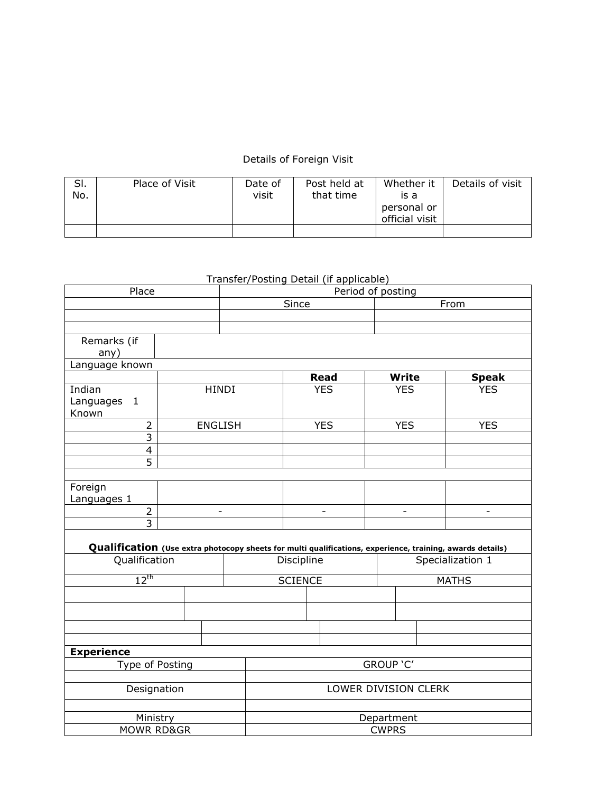## Details of Foreign Visit

| SI.<br>No. | Place of Visit | Date of<br>visit | Post held at<br>that time | Whether it<br>is a<br>personal or<br>official visit | Details of visit |
|------------|----------------|------------------|---------------------------|-----------------------------------------------------|------------------|
|            |                |                  |                           |                                                     |                  |

## Transfer/Posting Detail (if applicable)

| Place                                                                                                     | Period of posting |                          |  |                          |  |  |             |           |                          |  |                          |  |
|-----------------------------------------------------------------------------------------------------------|-------------------|--------------------------|--|--------------------------|--|--|-------------|-----------|--------------------------|--|--------------------------|--|
|                                                                                                           | Since             |                          |  |                          |  |  | From        |           |                          |  |                          |  |
|                                                                                                           |                   |                          |  |                          |  |  |             |           |                          |  |                          |  |
|                                                                                                           |                   |                          |  |                          |  |  |             |           |                          |  |                          |  |
| Remarks (if                                                                                               |                   |                          |  |                          |  |  |             |           |                          |  |                          |  |
| any)                                                                                                      |                   |                          |  |                          |  |  |             |           |                          |  |                          |  |
| Language known                                                                                            |                   |                          |  |                          |  |  |             |           |                          |  |                          |  |
|                                                                                                           |                   |                          |  |                          |  |  | <b>Read</b> |           | <b>Write</b>             |  | <b>Speak</b>             |  |
| Indian                                                                                                    |                   | <b>HINDI</b>             |  |                          |  |  | <b>YES</b>  |           | <b>YES</b>               |  | <b>YES</b>               |  |
| Languages 1                                                                                               |                   |                          |  |                          |  |  |             |           |                          |  |                          |  |
| Known                                                                                                     |                   |                          |  |                          |  |  |             |           |                          |  |                          |  |
| $\overline{2}$                                                                                            |                   | <b>ENGLISH</b>           |  |                          |  |  | <b>YES</b>  |           | <b>YES</b>               |  | <b>YES</b>               |  |
| $\overline{3}$                                                                                            |                   |                          |  |                          |  |  |             |           |                          |  |                          |  |
| $\overline{4}$                                                                                            |                   |                          |  |                          |  |  |             |           |                          |  |                          |  |
| $\overline{5}$                                                                                            |                   |                          |  |                          |  |  |             |           |                          |  |                          |  |
|                                                                                                           |                   |                          |  |                          |  |  |             |           |                          |  |                          |  |
| Foreign                                                                                                   |                   |                          |  |                          |  |  |             |           |                          |  |                          |  |
| Languages 1                                                                                               |                   |                          |  |                          |  |  |             |           |                          |  |                          |  |
| $\overline{2}$                                                                                            |                   | $\overline{\phantom{a}}$ |  | $\overline{\phantom{a}}$ |  |  |             |           | $\overline{\phantom{a}}$ |  | $\overline{\phantom{a}}$ |  |
| $\overline{3}$                                                                                            |                   |                          |  |                          |  |  |             |           |                          |  |                          |  |
|                                                                                                           |                   |                          |  |                          |  |  |             |           |                          |  |                          |  |
| Qualification (Use extra photocopy sheets for multi qualifications, experience, training, awards details) |                   |                          |  |                          |  |  |             |           |                          |  |                          |  |
| Qualification                                                                                             |                   |                          |  | Discipline               |  |  |             |           | Specialization 1         |  |                          |  |
| $12^{\text{th}}$                                                                                          |                   |                          |  |                          |  |  |             |           | <b>MATHS</b>             |  |                          |  |
|                                                                                                           |                   |                          |  | <b>SCIENCE</b>           |  |  |             |           |                          |  |                          |  |
|                                                                                                           |                   |                          |  |                          |  |  |             |           |                          |  |                          |  |
|                                                                                                           |                   |                          |  |                          |  |  |             |           |                          |  |                          |  |
|                                                                                                           |                   |                          |  |                          |  |  |             |           |                          |  |                          |  |
|                                                                                                           |                   |                          |  |                          |  |  |             |           |                          |  |                          |  |
| <b>Experience</b>                                                                                         |                   |                          |  |                          |  |  |             |           |                          |  |                          |  |
|                                                                                                           |                   |                          |  |                          |  |  |             | GROUP 'C' |                          |  |                          |  |
| Type of Posting                                                                                           |                   |                          |  |                          |  |  |             |           |                          |  |                          |  |
|                                                                                                           |                   |                          |  |                          |  |  |             |           |                          |  |                          |  |
| Designation                                                                                               |                   |                          |  | LOWER DIVISION CLERK     |  |  |             |           |                          |  |                          |  |
|                                                                                                           |                   |                          |  |                          |  |  |             |           |                          |  |                          |  |
|                                                                                                           | Ministry          |                          |  | Department               |  |  |             |           |                          |  |                          |  |
| <b>MOWR RD&amp;GR</b>                                                                                     |                   |                          |  | <b>CWPRS</b>             |  |  |             |           |                          |  |                          |  |